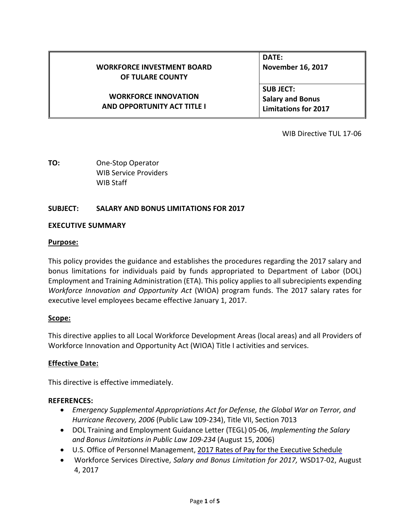|                                    | DATE:                       |
|------------------------------------|-----------------------------|
| <b>WORKFORCE INVESTMENT BOARD</b>  | <b>November 16, 2017</b>    |
| OF TULARE COUNTY                   |                             |
|                                    | <b>SUBJECT:</b>             |
| <b>WORKFORCE INNOVATION</b>        | <b>Salary and Bonus</b>     |
| <b>AND OPPORTUNITY ACT TITLE I</b> | <b>Limitations for 2017</b> |

WIB Directive TUL 17-06

**TO:** One-Stop Operator WIB Service Providers WIB Staff

# **SUBJECT: SALARY AND BONUS LIMITATIONS FOR 2017**

#### **EXECUTIVE SUMMARY**

#### **Purpose:**

This policy provides the guidance and establishes the procedures regarding the 2017 salary and bonus limitations for individuals paid by funds appropriated to Department of Labor (DOL) Employment and Training Administration (ETA). This policy applies to all subrecipients expending *Workforce Innovation and Opportunity Act* (WIOA) program funds. The 2017 salary rates for executive level employees became effective January 1, 2017.

## **Scope:**

This directive applies to all Local Workforce Development Areas (local areas) and all Providers of Workforce Innovation and Opportunity Act (WIOA) Title I activities and services.

## **Effective Date:**

This directive is effective immediately.

## **REFERENCES:**

- *Emergency Supplemental Appropriations Act for Defense, the Global War on Terror, and Hurricane Recovery, 2006* (Public Law 109-234), Title VII, Section 7013
- DOL Training and Employment Guidance Letter (TEGL) 05-06, *Implementing the Salary and Bonus Limitations in Public Law 109-234* (August 15, 2006)
- U.S. Office of Personnel Management, 2017 Rates of Pay for the [Executive](https://www.opm.gov/policy-data-oversight/pay-leave/salaries-wages/salary-tables/pdf/2017/EX.pdf) Schedule
- Workforce Services Directive, *Salary and Bonus Limitation for 2017,* WSD17-02, August 4, 2017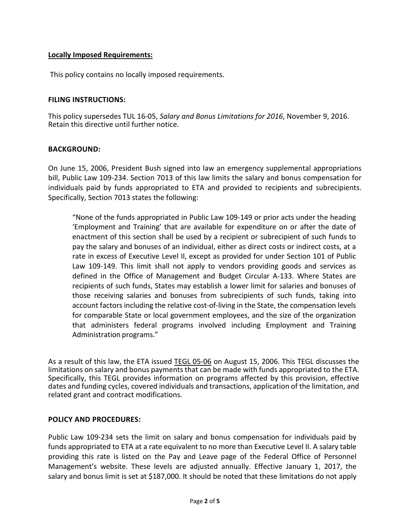# **Locally Imposed Requirements:**

This policy contains no locally imposed requirements.

## **FILING INSTRUCTIONS:**

This policy supersedes TUL 16-05, *Salary and Bonus Limitations for 2016*, November 9, 2016. Retain this directive until further notice.

## **BACKGROUND:**

On June 15, 2006, President Bush signed into law an emergency supplemental appropriations bill, Public Law 109-234. Section 7013 of this law limits the salary and bonus compensation for individuals paid by funds appropriated to ETA and provided to recipients and subrecipients. Specifically, Section 7013 states the following:

"None of the funds appropriated in Public Law 109-149 or prior acts under the heading 'Employment and Training' that are available for expenditure on or after the date of enactment of this section shall be used by a recipient or subrecipient of such funds to pay the salary and bonuses of an individual, either as direct costs or indirect costs, at a rate in excess of Executive Level II, except as provided for under Section 101 of Public Law 109-149. This limit shall not apply to vendors providing goods and services as defined in the Office of Management and Budget Circular A-133. Where States are recipients of such funds, States may establish a lower limit for salaries and bonuses of those receiving salaries and bonuses from subrecipients of such funds, taking into account factors including the relative cost-of-living in the State, the compensation levels for comparable State or local government employees, and the size of the organization that administers federal programs involved including Employment and Training Administration programs."

As a result of this law, the ETA issued [TEGL 05-06](https://wdr.doleta.gov/directives/corr_doc.cfm?DOCN=2262) on August 15, 2006. This TEGL discusses the limitations on salary and bonus payments that can be made with funds appropriated to the ETA. Specifically, this TEGL provides information on programs affected by this provision, effective dates and funding cycles, covered individuals and transactions, application of the limitation, and related grant and contract modifications.

## **POLICY AND PROCEDURES:**

Public Law 109-234 sets the limit on salary and bonus compensation for individuals paid by funds appropriated to ETA at a rate equivalent to no more than Executive Level II. A salary table providing this rate is listed on the Pay and Leave page of the Federal Office of Personnel Management's website. These levels are adjusted annually. Effective January 1, 2017, the salary and bonus limit is set at \$187,000. It should be noted that these limitations do not apply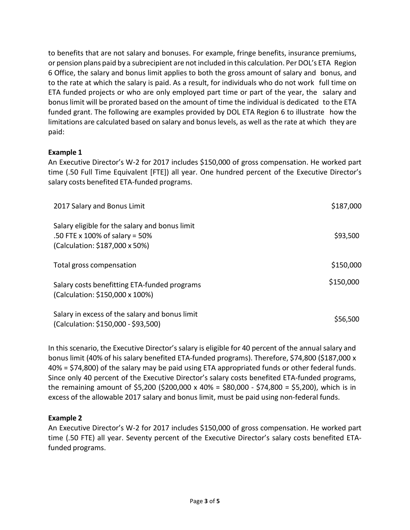to benefits that are not salary and bonuses. For example, fringe benefits, insurance premiums, or pension plans paid by a subrecipient are not included in this calculation. Per DOL's ETA Region 6 Office, the salary and bonus limit applies to both the gross amount of salary and bonus, and to the rate at which the salary is paid. As a result, for individuals who do not work full time on ETA funded projects or who are only employed part time or part of the year, the salary and bonus limit will be prorated based on the amount of time the individual is dedicated to the ETA funded grant. The following are examples provided by DOL ETA Region 6 to illustrate how the limitations are calculated based on salary and bonus levels, as well asthe rate at which they are paid:

# **Example 1**

An Executive Director's W-2 for 2017 includes \$150,000 of gross compensation. He worked part time (.50 Full Time Equivalent [FTE]) all year. One hundred percent of the Executive Director's salary costs benefited ETA-funded programs.

| 2017 Salary and Bonus Limit                                                                                        | \$187,000 |
|--------------------------------------------------------------------------------------------------------------------|-----------|
| Salary eligible for the salary and bonus limit<br>.50 FTE x 100% of salary = 50%<br>(Calculation: \$187,000 x 50%) | \$93,500  |
| Total gross compensation                                                                                           | \$150,000 |
| Salary costs benefitting ETA-funded programs<br>(Calculation: \$150,000 x 100%)                                    | \$150,000 |
| Salary in excess of the salary and bonus limit<br>(Calculation: \$150,000 - \$93,500)                              | \$56,500  |

In this scenario, the Executive Director's salary is eligible for 40 percent of the annual salary and bonus limit (40% of his salary benefited ETA-funded programs). Therefore, \$74,800 (\$187,000 x 40% = \$74,800) of the salary may be paid using ETA appropriated funds or other federal funds. Since only 40 percent of the Executive Director's salary costs benefited ETA-funded programs, the remaining amount of \$5,200 (\$200,000 x 40% = \$80,000 - \$74,800 = \$5,200), which is in excess of the allowable 2017 salary and bonus limit, must be paid using non-federal funds.

# **Example 2**

An Executive Director's W-2 for 2017 includes \$150,000 of gross compensation. He worked part time (.50 FTE) all year. Seventy percent of the Executive Director's salary costs benefited ETAfunded programs.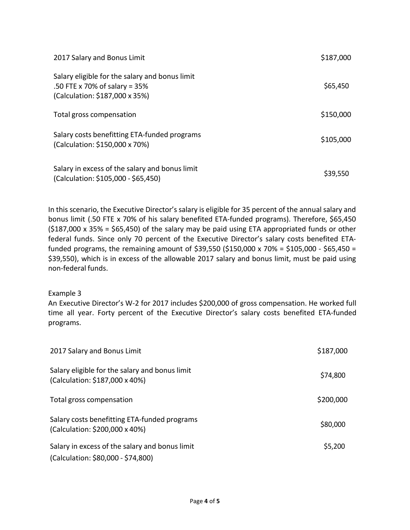| 2017 Salary and Bonus Limit                                                                                       | \$187,000 |
|-------------------------------------------------------------------------------------------------------------------|-----------|
| Salary eligible for the salary and bonus limit<br>.50 FTE x 70% of salary = 35%<br>(Calculation: \$187,000 x 35%) | \$65,450  |
| Total gross compensation                                                                                          | \$150,000 |
| Salary costs benefitting ETA-funded programs<br>(Calculation: \$150,000 x 70%)                                    | \$105,000 |
| Salary in excess of the salary and bonus limit<br>(Calculation: \$105,000 - \$65,450)                             | \$39,550  |

In this scenario, the Executive Director's salary is eligible for 35 percent of the annual salary and bonus limit (.50 FTE x 70% of his salary benefited ETA-funded programs). Therefore, \$65,450  $(5187,000 \times 35\% = 565,450)$  of the salary may be paid using ETA appropriated funds or other federal funds. Since only 70 percent of the Executive Director's salary costs benefited ETAfunded programs, the remaining amount of \$39,550 (\$150,000 x 70% = \$105,000 - \$65,450 = \$39,550), which is in excess of the allowable 2017 salary and bonus limit, must be paid using non-federal funds.

## Example 3

An Executive Director's W-2 for 2017 includes \$200,000 of gross compensation. He worked full time all year. Forty percent of the Executive Director's salary costs benefited ETA-funded programs.

| 2017 Salary and Bonus Limit                                                          | \$187,000 |
|--------------------------------------------------------------------------------------|-----------|
| Salary eligible for the salary and bonus limit<br>(Calculation: \$187,000 x 40%)     | \$74,800  |
| Total gross compensation                                                             | \$200,000 |
| Salary costs benefitting ETA-funded programs<br>(Calculation: \$200,000 x 40%)       | \$80,000  |
| Salary in excess of the salary and bonus limit<br>(Calculation: \$80,000 - \$74,800) | \$5,200   |